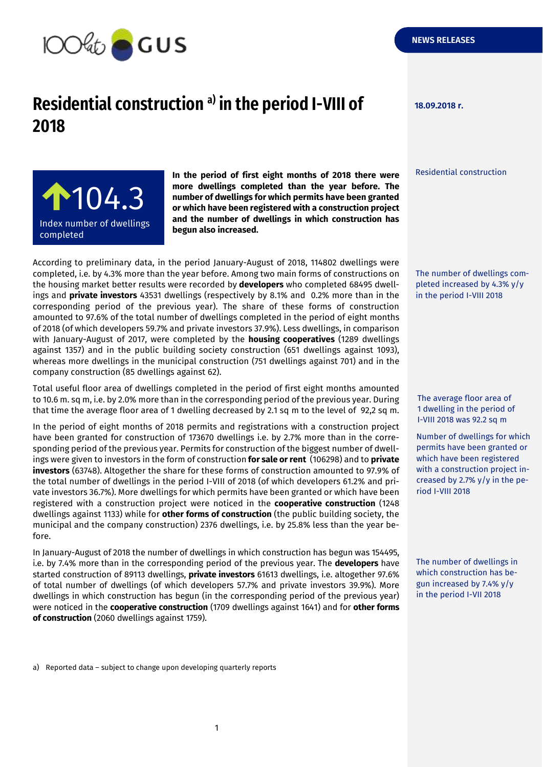

## **NEWS RELEASES**

## **Residential construction 18.09.2018 r. a) in the period I-VIII of 2018**

**100,5** 104.3Index number of dwellings completed adipiscing elitency and

**In the period of first eight months of 2018 there were more dwellings completed than the year before. The number of dwellings for which permits have been granted or which have been registered with a construction project and the number of dwellings in which construction has begun also increased.**

According to preliminary data, in the period January-August of 2018, 114802 dwellings were completed, i.e. by 4.3% more than the year before. Among two main forms of constructions on the housing market better results were recorded by **developers** who completed 68495 dwellings and **private investors** 43531 dwellings (respectively by 8.1% and 0.2% more than in the corresponding period of the previous year). The share of these forms of construction amounted to 97.6% of the total number of dwellings completed in the period of eight months of 2018 (of which developers 59.7% and private investors 37.9%). Less dwellings, in comparison with January-August of 2017, were completed by the **housing cooperatives** (1289 dwellings against 1357) and in the public building society construction (651 dwellings against 1093), whereas more dwellings in the municipal construction (751 dwellings against 701) and in the company construction (85 dwellings against 62).

Total useful floor area of dwellings completed in the period of first eight months amounted to 10.6 m. sq m, i.e. by 2.0% more than in the corresponding period of the previous year. During that time the average floor area of 1 dwelling decreased by 2.1 sq m to the level of 92,2 sq m.

In the period of eight months of 2018 permits and registrations with a construction project have been granted for construction of 173670 dwellings i.e. by 2.7% more than in the corresponding period of the previous year. Permits for construction of the biggest number of dwellings were given to investors in the form of construction **for sale or rent** (106298) and to **private investors** (63748). Altogether the share for these forms of construction amounted to 97.9% of the total number of dwellings in the period I-VIII of 2018 (of which developers 61.2% and private investors 36.7%). More dwellings for which permits have been granted or which have been registered with a construction project were noticed in the **cooperative construction** (1248 dwellings against 1133) while for **other forms of construction** (the public building society, the municipal and the company construction) 2376 dwellings, i.e. by 25.8% less than the year before.

In January-August of 2018 the number of dwellings in which construction has begun was 154495, i.e. by 7.4% more than in the corresponding period of the previous year. The **developers** have started construction of 89113 dwellings, **private investors** 61613 dwellings, i.e. altogether 97.6% of total number of dwellings (of which developers 57.7% and private investors 39.9%). More dwellings in which construction has begun (in the corresponding period of the previous year) were noticed in the **cooperative construction** (1709 dwellings against 1641) and for **other forms of construction** (2060 dwellings against 1759).

Residential construction

The number of dwellings completed increased by 4.3% y/y in the period I-VIII 2018

The average floor area of 1 dwelling in the period of I-VIII 2018 was 92.2 sq m

Number of dwellings for which permits have been granted or which have been registered with a construction project increased by 2.7% y/y in the period I-VIII 2018

The number of dwellings in which construction has begun increased by 7.4% y/y in the period I-VII 2018

a) Reported data – subject to change upon developing quarterly reports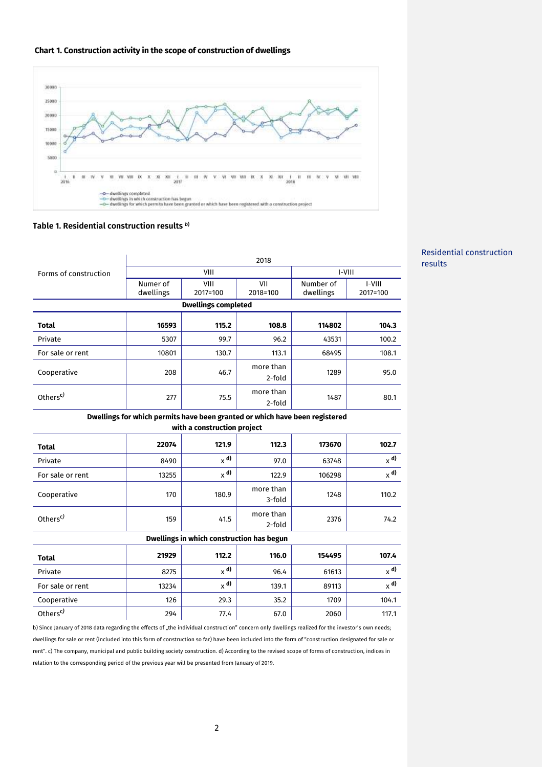



## **Table 1. Residential construction results** *<sup>b</sup>***)**

|                                                                             | 2018                  |                  |                        |                        |                        |
|-----------------------------------------------------------------------------|-----------------------|------------------|------------------------|------------------------|------------------------|
| Forms of construction                                                       | VIII                  |                  |                        | I-VIII                 |                        |
|                                                                             | Numer of<br>dwellings | VIII<br>2017=100 | VII<br>2018=100        | Number of<br>dwellings | $I-VIII$<br>2017=100   |
| <b>Dwellings completed</b>                                                  |                       |                  |                        |                        |                        |
| Total                                                                       | 16593                 | 115.2            | 108.8                  | 114802                 | 104.3                  |
| Private                                                                     | 5307                  | 99.7             | 96.2                   | 43531                  | 100.2                  |
| For sale or rent                                                            | 10801                 | 130.7            | 113.1                  | 68495                  | 108.1                  |
| Cooperative                                                                 | 208                   | 46.7             | more than<br>2-fold    | 1289                   | 95.0                   |
| Others <sup>c)</sup>                                                        | 277                   | 75.5             | more than<br>$2$ -fold | 1487                   | 80.1                   |
| Dwellings for which permits have been granted or which have been registered |                       |                  |                        |                        |                        |
| with a construction project                                                 |                       |                  |                        |                        |                        |
| <b>Total</b>                                                                | 22074                 | 121.9            | 112.3                  | 173670                 | 102.7                  |
| Private                                                                     | 8490                  | $_{\chi}$ d)     | 97.0                   | 63748                  | $x^{d}$                |
| For sale or rent                                                            | 13255                 | $_{\chi}$ d)     | 122.9                  | 106298                 | $_{\chi}$ d)           |
| Cooperative                                                                 | 170                   | 180.9            | more than<br>$3-fold$  | 1248                   | 110.2                  |
| Others <sup>c)</sup>                                                        | 159                   | 41.5             | more than<br>2-fold    | 2376                   | 74.2                   |
| Dwellings in which construction has begun                                   |                       |                  |                        |                        |                        |
| <b>Total</b>                                                                | 21929                 | 112.2            | 116.0                  | 154495                 | 107.4                  |
| Private                                                                     | 8275                  | $_{X}$ d)        | 96.4                   | 61613                  | $_{\chi}$ d)           |
| For sale or rent                                                            | 13234                 | $\times$ d)      | 139.1                  | 89113                  | $\times$ <sup>d)</sup> |
| Cooperative                                                                 | 126                   | 29.3             | 35.2                   | 1709                   | 104.1                  |
| Others <sup>c)</sup>                                                        | 294                   | 77.4             | 67.0                   | 2060                   | 117.1                  |

b) Since January of 2018 data regarding the effects of "the individual construction" concern only dwellings realized for the investor's own needs; dwellings for sale or rent (included into this form of construction so far) have been included into the form of "construction designated for sale or rent". c) The company, municipal and public building society construction. d) According to the revised scope of forms of construction, indices in relation to the corresponding period of the previous year will be presented from January of 2019.

## Residential construction results